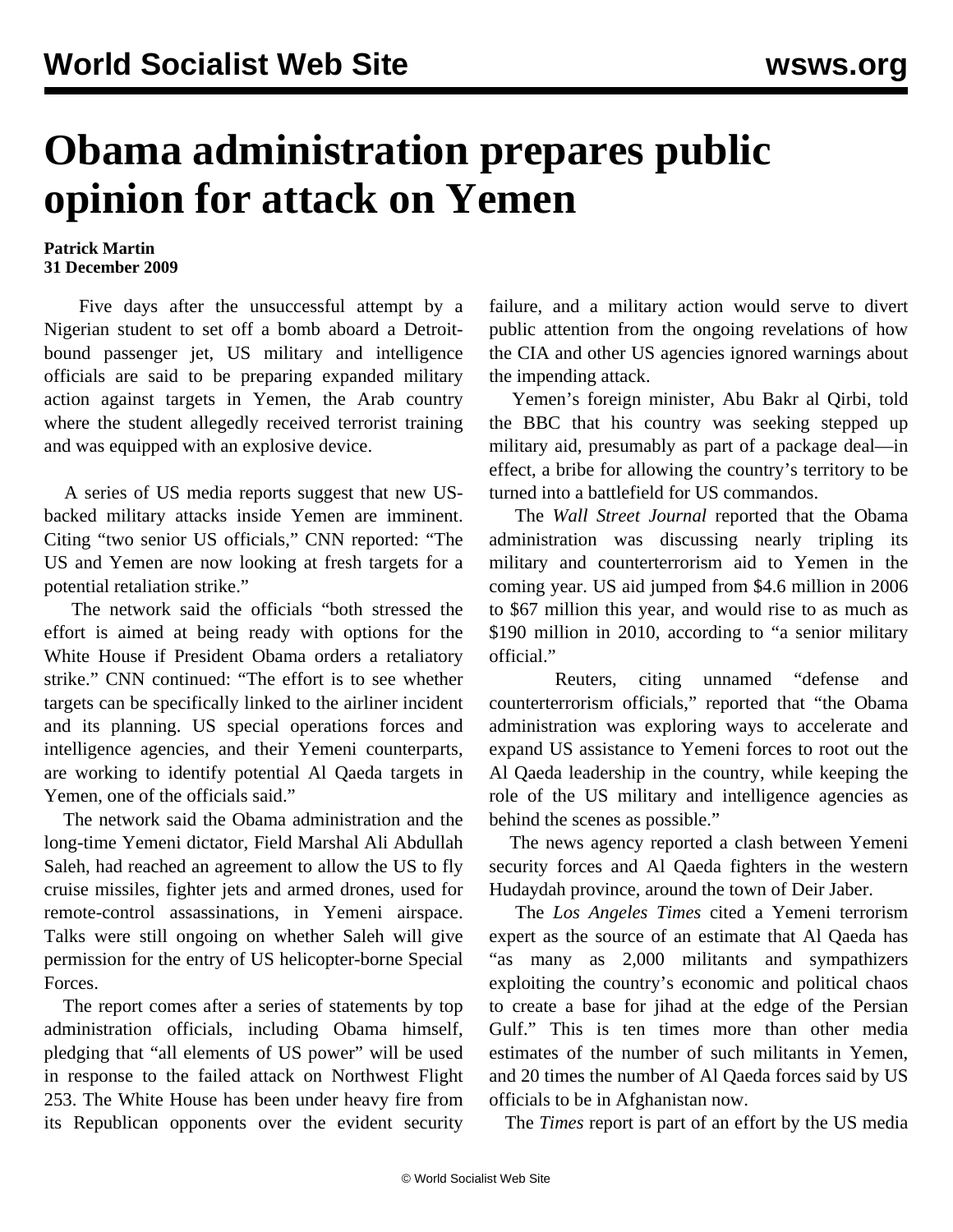## **Obama administration prepares public opinion for attack on Yemen**

## **Patrick Martin 31 December 2009**

 Five days after the unsuccessful attempt by a Nigerian student to set off a bomb aboard a Detroitbound passenger jet, US military and intelligence officials are said to be preparing expanded military action against targets in Yemen, the Arab country where the student allegedly received terrorist training and was equipped with an explosive device.

 A series of US media reports suggest that new USbacked military attacks inside Yemen are imminent. Citing "two senior US officials," CNN reported: "The US and Yemen are now looking at fresh targets for a potential retaliation strike."

 The network said the officials "both stressed the effort is aimed at being ready with options for the White House if President Obama orders a retaliatory strike." CNN continued: "The effort is to see whether targets can be specifically linked to the airliner incident and its planning. US special operations forces and intelligence agencies, and their Yemeni counterparts, are working to identify potential Al Qaeda targets in Yemen, one of the officials said."

 The network said the Obama administration and the long-time Yemeni dictator, Field Marshal Ali Abdullah Saleh, had reached an agreement to allow the US to fly cruise missiles, fighter jets and armed drones, used for remote-control assassinations, in Yemeni airspace. Talks were still ongoing on whether Saleh will give permission for the entry of US helicopter-borne Special Forces.

 The report comes after a series of statements by top administration officials, including Obama himself, pledging that "all elements of US power" will be used in response to the failed attack on Northwest Flight 253. The White House has been under heavy fire from its Republican opponents over the evident security failure, and a military action would serve to divert public attention from the ongoing revelations of how the CIA and other US agencies ignored warnings about the impending attack.

 Yemen's foreign minister, Abu Bakr al Qirbi, told the BBC that his country was seeking stepped up military aid, presumably as part of a package deal—in effect, a bribe for allowing the country's territory to be turned into a battlefield for US commandos.

 The *Wall Street Journal* reported that the Obama administration was discussing nearly tripling its military and counterterrorism aid to Yemen in the coming year. US aid jumped from \$4.6 million in 2006 to \$67 million this year, and would rise to as much as \$190 million in 2010, according to "a senior military official."

 Reuters, citing unnamed "defense and counterterrorism officials," reported that "the Obama administration was exploring ways to accelerate and expand US assistance to Yemeni forces to root out the Al Qaeda leadership in the country, while keeping the role of the US military and intelligence agencies as behind the scenes as possible."

 The news agency reported a clash between Yemeni security forces and Al Qaeda fighters in the western Hudaydah province, around the town of Deir Jaber.

 The *Los Angeles Times* cited a Yemeni terrorism expert as the source of an estimate that Al Qaeda has "as many as 2,000 militants and sympathizers exploiting the country's economic and political chaos to create a base for jihad at the edge of the Persian Gulf." This is ten times more than other media estimates of the number of such militants in Yemen, and 20 times the number of Al Qaeda forces said by US officials to be in Afghanistan now.

The *Times* report is part of an effort by the US media